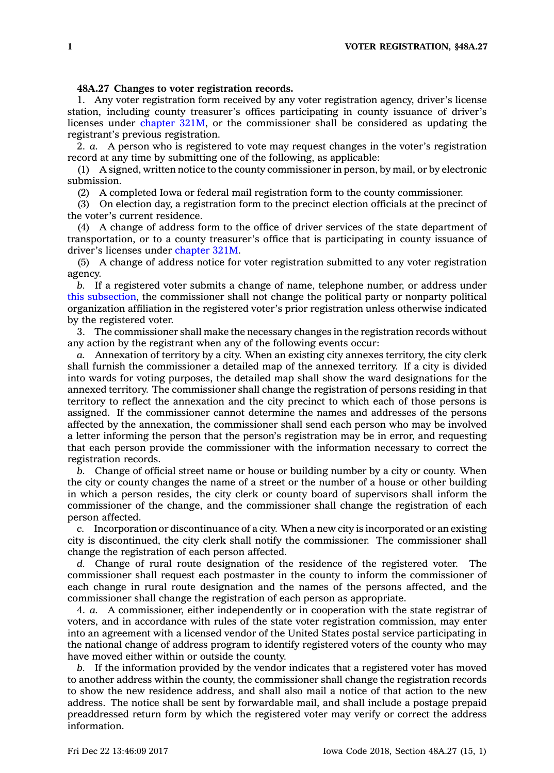## **48A.27 Changes to voter registration records.**

1. Any voter registration form received by any voter registration agency, driver's license station, including county treasurer's offices participating in county issuance of driver's licenses under [chapter](https://www.legis.iowa.gov/docs/code//321M.pdf)  $321M$ , or the commissioner shall be considered as updating the registrant's previous registration.

2. *a.* A person who is registered to vote may request changes in the voter's registration record at any time by submitting one of the following, as applicable:

(1) A signed, written notice to the county commissioner in person, by mail, or by electronic submission.

(2) A completed Iowa or federal mail registration form to the county commissioner.

(3) On election day, <sup>a</sup> registration form to the precinct election officials at the precinct of the voter's current residence.

(4) A change of address form to the office of driver services of the state department of transportation, or to <sup>a</sup> county treasurer's office that is participating in county issuance of driver's licenses under [chapter](https://www.legis.iowa.gov/docs/code//321M.pdf) 321M.

(5) A change of address notice for voter registration submitted to any voter registration agency.

*b.* If <sup>a</sup> registered voter submits <sup>a</sup> change of name, telephone number, or address under this [subsection](https://www.legis.iowa.gov/docs/code/48A.27.pdf), the commissioner shall not change the political party or nonparty political organization affiliation in the registered voter's prior registration unless otherwise indicated by the registered voter.

3. The commissioner shall make the necessary changes in the registration records without any action by the registrant when any of the following events occur:

*a.* Annexation of territory by <sup>a</sup> city. When an existing city annexes territory, the city clerk shall furnish the commissioner <sup>a</sup> detailed map of the annexed territory. If <sup>a</sup> city is divided into wards for voting purposes, the detailed map shall show the ward designations for the annexed territory. The commissioner shall change the registration of persons residing in that territory to reflect the annexation and the city precinct to which each of those persons is assigned. If the commissioner cannot determine the names and addresses of the persons affected by the annexation, the commissioner shall send each person who may be involved <sup>a</sup> letter informing the person that the person's registration may be in error, and requesting that each person provide the commissioner with the information necessary to correct the registration records.

*b.* Change of official street name or house or building number by <sup>a</sup> city or county. When the city or county changes the name of <sup>a</sup> street or the number of <sup>a</sup> house or other building in which <sup>a</sup> person resides, the city clerk or county board of supervisors shall inform the commissioner of the change, and the commissioner shall change the registration of each person affected.

*c.* Incorporation or discontinuance of <sup>a</sup> city. When <sup>a</sup> new city is incorporated or an existing city is discontinued, the city clerk shall notify the commissioner. The commissioner shall change the registration of each person affected.

*d.* Change of rural route designation of the residence of the registered voter. The commissioner shall request each postmaster in the county to inform the commissioner of each change in rural route designation and the names of the persons affected, and the commissioner shall change the registration of each person as appropriate.

4. *a.* A commissioner, either independently or in cooperation with the state registrar of voters, and in accordance with rules of the state voter registration commission, may enter into an agreement with <sup>a</sup> licensed vendor of the United States postal service participating in the national change of address program to identify registered voters of the county who may have moved either within or outside the county.

*b.* If the information provided by the vendor indicates that <sup>a</sup> registered voter has moved to another address within the county, the commissioner shall change the registration records to show the new residence address, and shall also mail <sup>a</sup> notice of that action to the new address. The notice shall be sent by forwardable mail, and shall include <sup>a</sup> postage prepaid preaddressed return form by which the registered voter may verify or correct the address information.